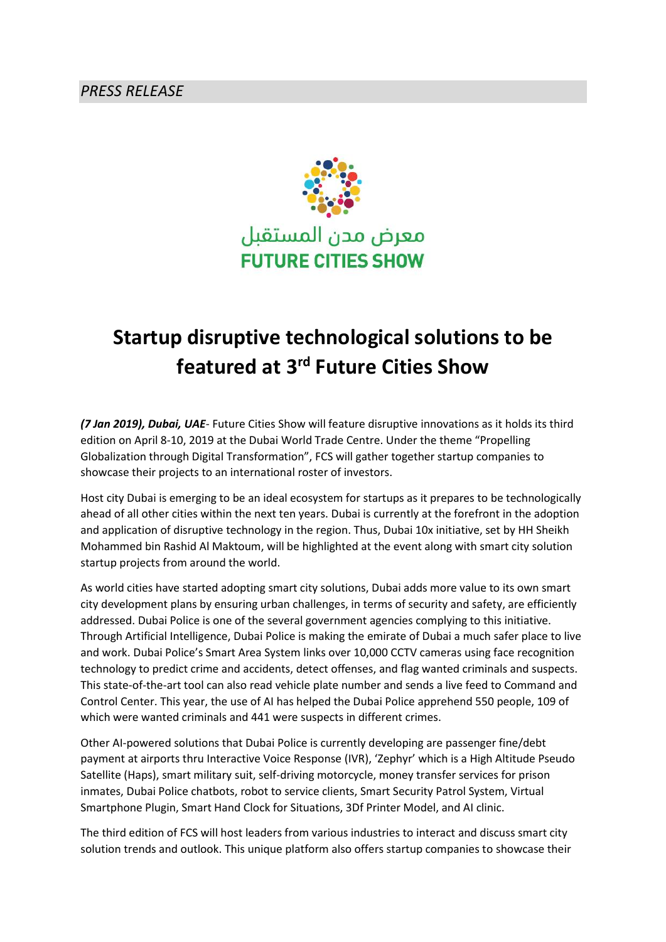## *PRESS RELEASE*



# **Startup disruptive technological solutions to be featured at 3 rd Future Cities Show**

*(7 Jan 2019), Dubai, UAE*- Future Cities Show will feature disruptive innovations as it holds its third edition on April 8-10, 2019 at the Dubai World Trade Centre. Under the theme "Propelling Globalization through Digital Transformation", FCS will gather together startup companies to showcase their projects to an international roster of investors.

Host city Dubai is emerging to be an ideal ecosystem for startups as it prepares to be technologically ahead of all other cities within the next ten years. Dubai is currently at the forefront in the adoption and application of disruptive technology in the region. Thus, Dubai 10x initiative, set by HH Sheikh Mohammed bin Rashid Al Maktoum, will be highlighted at the event along with smart city solution startup projects from around the world.

As world cities have started adopting smart city solutions, Dubai adds more value to its own smart city development plans by ensuring urban challenges, in terms of security and safety, are efficiently addressed. Dubai Police is one of the several government agencies complying to this initiative. Through Artificial Intelligence, Dubai Police is making the emirate of Dubai a much safer place to live and work. Dubai Police's Smart Area System links over 10,000 CCTV cameras using face recognition technology to predict crime and accidents, detect offenses, and flag wanted criminals and suspects. This state-of-the-art tool can also read vehicle plate number and sends a live feed to Command and Control Center. This year, the use of AI has helped the Dubai Police apprehend 550 people, 109 of which were wanted criminals and 441 were suspects in different crimes.

Other AI-powered solutions that Dubai Police is currently developing are passenger fine/debt payment at airports thru Interactive Voice Response (IVR), 'Zephyr' which is a High Altitude Pseudo Satellite (Haps), smart military suit, self-driving motorcycle, money transfer services for prison inmates, Dubai Police chatbots, robot to service clients, Smart Security Patrol System, Virtual Smartphone Plugin, Smart Hand Clock for Situations, 3Df Printer Model, and AI clinic.

The third edition of FCS will host leaders from various industries to interact and discuss smart city solution trends and outlook. This unique platform also offers startup companies to showcase their